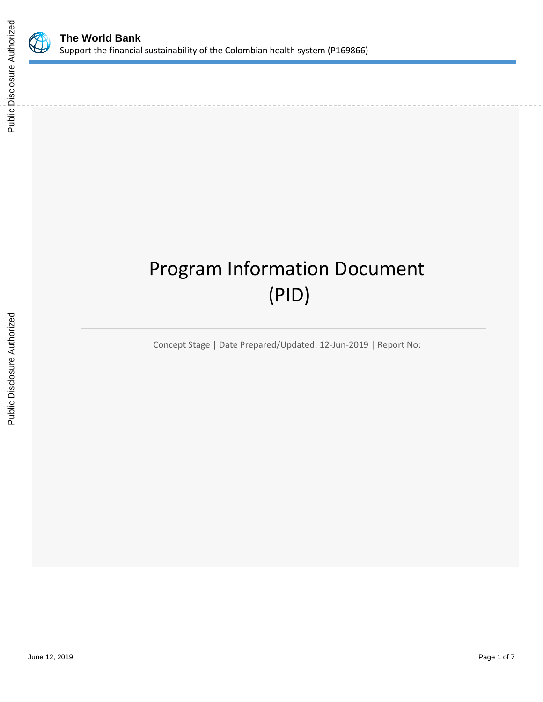

# Program Information Document (PID)

Concept Stage | Date Prepared/Updated: 12-Jun-2019 | Report No: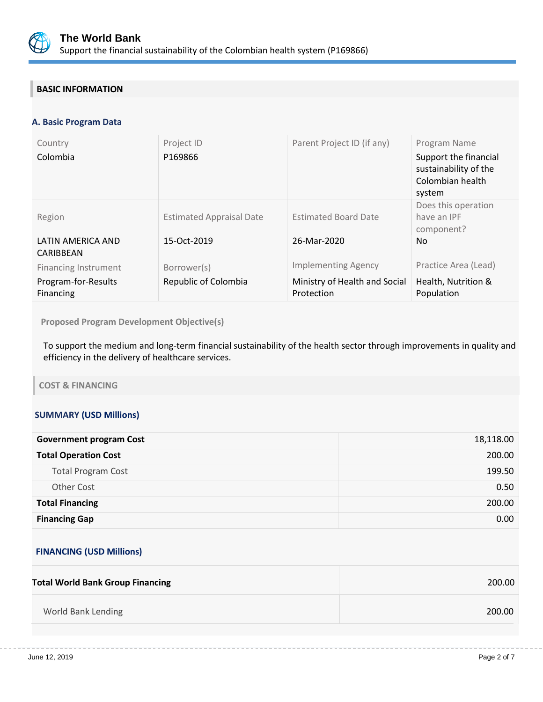

# **BASIC INFORMATION**

# **A. Basic Program Data**

| Country<br>Colombia                                             | Project ID<br>P169866                          | Parent Project ID (if any)                                                | Program Name<br>Support the financial<br>sustainability of the<br>Colombian health<br>system |
|-----------------------------------------------------------------|------------------------------------------------|---------------------------------------------------------------------------|----------------------------------------------------------------------------------------------|
| Region<br>LATIN AMERICA AND<br>CARIBBEAN                        | <b>Estimated Appraisal Date</b><br>15-Oct-2019 | <b>Estimated Board Date</b><br>26-Mar-2020                                | Does this operation<br>have an IPF<br>component?<br>N <sub>o</sub>                           |
| <b>Financing Instrument</b><br>Program-for-Results<br>Financing | Borrower(s)<br>Republic of Colombia            | <b>Implementing Agency</b><br>Ministry of Health and Social<br>Protection | Practice Area (Lead)<br>Health, Nutrition &<br>Population                                    |

**Proposed Program Development Objective(s)** 

To support the medium and long-term financial sustainability of the health sector through improvements in quality and efficiency in the delivery of healthcare services.

## **COST & FINANCING**

# **SUMMARY (USD Millions)**

| <b>Government program Cost</b> | 18,118.00 |
|--------------------------------|-----------|
| <b>Total Operation Cost</b>    | 200.00    |
| <b>Total Program Cost</b>      | 199.50    |
| <b>Other Cost</b>              | 0.50      |
| <b>Total Financing</b>         | 200.00    |
| <b>Financing Gap</b>           | 0.00      |

# **FINANCING (USD Millions)**

| <b>Total World Bank Group Financing</b> | 200.00 |
|-----------------------------------------|--------|
| World Bank Lending                      | 200.00 |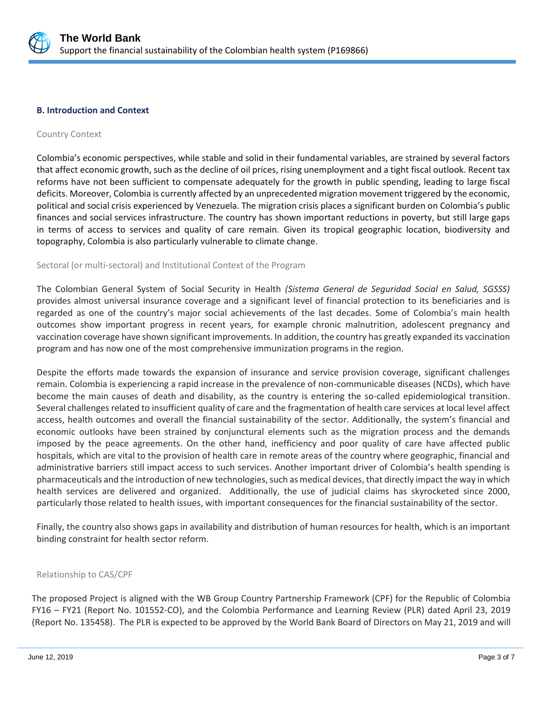

## **B. Introduction and Context**

## Country Context

Colombia's economic perspectives, while stable and solid in their fundamental variables, are strained by several factors that affect economic growth, such as the decline of oil prices, rising unemployment and a tight fiscal outlook. Recent tax reforms have not been sufficient to compensate adequately for the growth in public spending, leading to large fiscal deficits. Moreover, Colombia is currently affected by an unprecedented migration movement triggered by the economic, political and social crisis experienced by Venezuela. The migration crisis places a significant burden on Colombia's public finances and social services infrastructure. The country has shown important reductions in poverty, but still large gaps in terms of access to services and quality of care remain. Given its tropical geographic location, biodiversity and topography, Colombia is also particularly vulnerable to climate change.

## Sectoral (or multi-sectoral) and Institutional Context of the Program

The Colombian General System of Social Security in Health *(Sistema General de Seguridad Social en Salud, SGSSS)* provides almost universal insurance coverage and a significant level of financial protection to its beneficiaries and is regarded as one of the country's major social achievements of the last decades. Some of Colombia's main health outcomes show important progress in recent years, for example chronic malnutrition, adolescent pregnancy and vaccination coverage have shown significant improvements. In addition, the country has greatly expanded its vaccination program and has now one of the most comprehensive immunization programs in the region.

Despite the efforts made towards the expansion of insurance and service provision coverage, significant challenges remain. Colombia is experiencing a rapid increase in the prevalence of non-communicable diseases (NCDs), which have become the main causes of death and disability, as the country is entering the so-called epidemiological transition. Several challenges related to insufficient quality of care and the fragmentation of health care services at local level affect access, health outcomes and overall the financial sustainability of the sector. Additionally, the system's financial and economic outlooks have been strained by conjunctural elements such as the migration process and the demands imposed by the peace agreements. On the other hand, inefficiency and poor quality of care have affected public hospitals, which are vital to the provision of health care in remote areas of the country where geographic, financial and administrative barriers still impact access to such services. Another important driver of Colombia's health spending is pharmaceuticals and the introduction of new technologies, such as medical devices, that directly impact the way in which health services are delivered and organized. Additionally, the use of judicial claims has skyrocketed since 2000, particularly those related to health issues, with important consequences for the financial sustainability of the sector.

Finally, the country also shows gaps in availability and distribution of human resources for health, which is an important binding constraint for health sector reform.

## Relationship to CAS/CPF

The proposed Project is aligned with the WB Group Country Partnership Framework (CPF) for the Republic of Colombia FY16 – FY21 (Report No. 101552-CO), and the Colombia Performance and Learning Review (PLR) dated April 23, 2019 (Report No. 135458). The PLR is expected to be approved by the World Bank Board of Directors on May 21, 2019 and will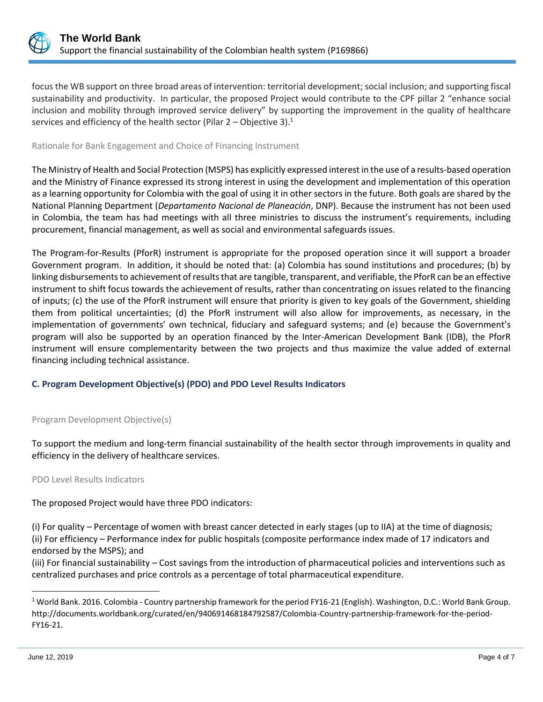

focus the WB support on three broad areas of intervention: territorial development; social inclusion; and supporting fiscal sustainability and productivity. In particular, the proposed Project would contribute to the CPF pillar 2 "enhance social inclusion and mobility through improved service delivery" by supporting the improvement in the quality of healthcare services and efficiency of the health sector (Pilar  $2 -$ Objective 3).<sup>1</sup>

# Rationale for Bank Engagement and Choice of Financing Instrument

The Ministry of Health and Social Protection (MSPS) has explicitly expressed interest in the use of a results-based operation and the Ministry of Finance expressed its strong interest in using the development and implementation of this operation as a learning opportunity for Colombia with the goal of using it in other sectors in the future. Both goals are shared by the National Planning Department (*Departamento Nacional de Planeación*, DNP). Because the instrument has not been used in Colombia, the team has had meetings with all three ministries to discuss the instrument's requirements, including procurement, financial management, as well as social and environmental safeguards issues.

The Program-for-Results (PforR) instrument is appropriate for the proposed operation since it will support a broader Government program. In addition, it should be noted that: (a) Colombia has sound institutions and procedures; (b) by linking disbursements to achievement of results that are tangible, transparent, and verifiable, the PforR can be an effective instrument to shift focus towards the achievement of results, rather than concentrating on issues related to the financing of inputs; (c) the use of the PforR instrument will ensure that priority is given to key goals of the Government, shielding them from political uncertainties; (d) the PforR instrument will also allow for improvements, as necessary, in the implementation of governments' own technical, fiduciary and safeguard systems; and (e) because the Government's program will also be supported by an operation financed by the Inter-American Development Bank (IDB), the PforR instrument will ensure complementarity between the two projects and thus maximize the value added of external financing including technical assistance.

# **C. Program Development Objective(s) (PDO) and PDO Level Results Indicators**

# Program Development Objective(s)

To support the medium and long-term financial sustainability of the health sector through improvements in quality and efficiency in the delivery of healthcare services.

PDO Level Results Indicators

The proposed Project would have three PDO indicators:

(i) For quality – Percentage of women with breast cancer detected in early stages (up to IIA) at the time of diagnosis; (ii) For efficiency – Performance index for public hospitals (composite performance index made of 17 indicators and endorsed by the MSPS); and

(iii) For financial sustainability – Cost savings from the introduction of pharmaceutical policies and interventions such as centralized purchases and price controls as a percentage of total pharmaceutical expenditure.

 $\overline{a}$ 

<sup>1</sup> World Bank. 2016. Colombia - Country partnership framework for the period FY16-21 (English). Washington, D.C.: World Bank Group. http://documents.worldbank.org/curated/en/940691468184792587/Colombia-Country-partnership-framework-for-the-period-FY16-21.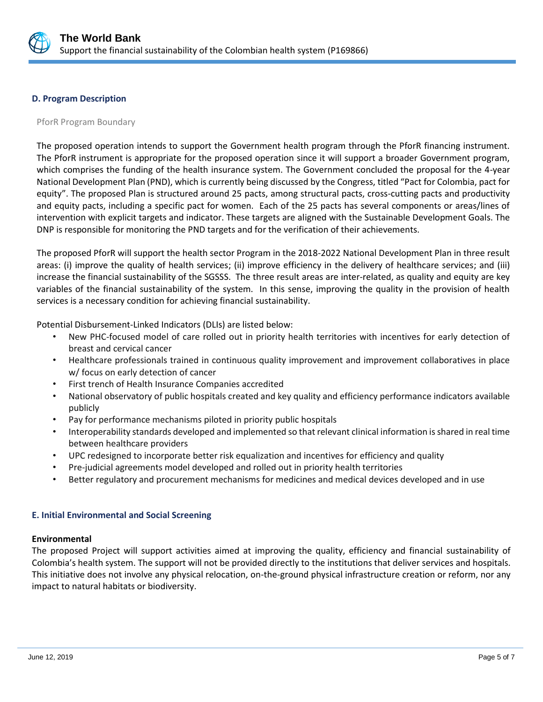

## **D. Program Description**

## PforR Program Boundary

The proposed operation intends to support the Government health program through the PforR financing instrument. The PforR instrument is appropriate for the proposed operation since it will support a broader Government program, which comprises the funding of the health insurance system. The Government concluded the proposal for the 4-year National Development Plan (PND), which is currently being discussed by the Congress, titled "Pact for Colombia, pact for equity". The proposed Plan is structured around 25 pacts, among structural pacts, cross-cutting pacts and productivity and equity pacts, including a specific pact for women. Each of the 25 pacts has several components or areas/lines of intervention with explicit targets and indicator. These targets are aligned with the Sustainable Development Goals. The DNP is responsible for monitoring the PND targets and for the verification of their achievements.

The proposed PforR will support the health sector Program in the 2018-2022 National Development Plan in three result areas: (i) improve the quality of health services; (ii) improve efficiency in the delivery of healthcare services; and (iii) increase the financial sustainability of the SGSSS. The three result areas are inter-related, as quality and equity are key variables of the financial sustainability of the system. In this sense, improving the quality in the provision of health services is a necessary condition for achieving financial sustainability.

Potential Disbursement-Linked Indicators (DLIs) are listed below:

- New PHC-focused model of care rolled out in priority health territories with incentives for early detection of breast and cervical cancer
- Healthcare professionals trained in continuous quality improvement and improvement collaboratives in place w/ focus on early detection of cancer
- First trench of Health Insurance Companies accredited
- National observatory of public hospitals created and key quality and efficiency performance indicators available publicly
- Pay for performance mechanisms piloted in priority public hospitals
- Interoperability standards developed and implemented so that relevant clinical information is shared in real time between healthcare providers
- UPC redesigned to incorporate better risk equalization and incentives for efficiency and quality
- Pre-judicial agreements model developed and rolled out in priority health territories
- Better regulatory and procurement mechanisms for medicines and medical devices developed and in use

## **E. Initial Environmental and Social Screening**

## **Environmental**

The proposed Project will support activities aimed at improving the quality, efficiency and financial sustainability of Colombia's health system. The support will not be provided directly to the institutions that deliver services and hospitals. This initiative does not involve any physical relocation, on-the-ground physical infrastructure creation or reform, nor any impact to natural habitats or biodiversity.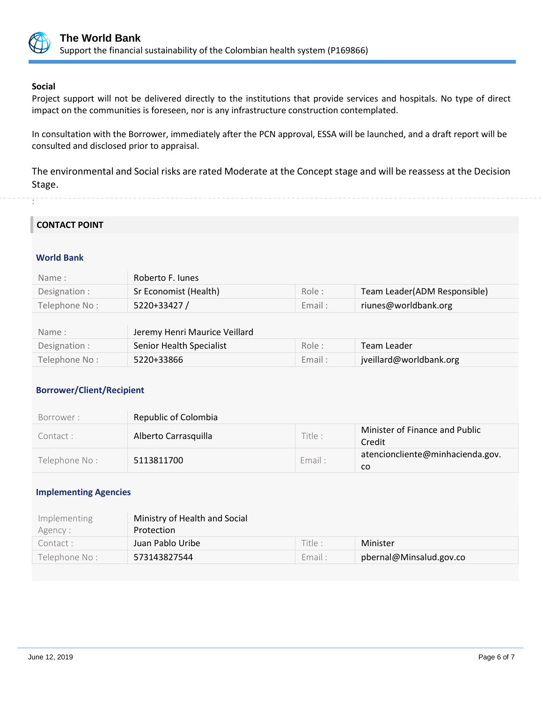

# **Social**

. .

Project support will not be delivered directly to the institutions that provide services and hospitals. No type of direct impact on the communities is foreseen, nor is any infrastructure construction contemplated.

In consultation with the Borrower, immediately after the PCN approval, ESSA will be launched, and a draft report will be consulted and disclosed prior to appraisal.

The environmental and Social risks are rated Moderate at the Concept stage and will be reassess at the Decision Stage.

# **CONTACT POINT**

# **World Bank**

| Name:         | Roberto F. Junes              |        |                              |
|---------------|-------------------------------|--------|------------------------------|
| Designation : | Sr Economist (Health)         | Role:  | Team Leader(ADM Responsible) |
| Telephone No: | 5220+33427/                   | Email: | riunes@worldbank.org         |
|               |                               |        |                              |
| Name:         | Jeremy Henri Maurice Veillard |        |                              |
| Designation : | Senior Health Specialist      | Role:  | Team Leader                  |
| Telephone No: | 5220+33866                    | Email: | jveillard@worldbank.org      |

# **Borrower/Client/Recipient**

| Borrower:     | Republic of Colombia |         |                                          |
|---------------|----------------------|---------|------------------------------------------|
| Contact :     | Alberto Carrasquilla | Title : | Minister of Finance and Public<br>Credit |
| Telephone No: | 5113811700           | Email:  | atencioncliente@minhacienda.gov.<br>co   |

# **Implementing Agencies**

| Implementing  | Ministry of Health and Social |         |                         |
|---------------|-------------------------------|---------|-------------------------|
| Agency :      | Protection                    |         |                         |
| Contact :     | Juan Pablo Uribe              | Title : | Minister                |
| Telephone No: | 573143827544                  | Email:  | pbernal@Minsalud.gov.co |